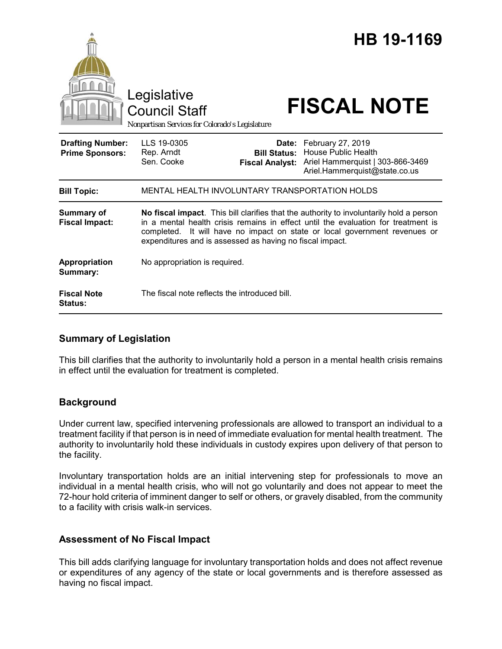|                                                   | Legislative<br><b>Council Staff</b><br>Nonpartisan Services for Colorado's Legislature                                                                                                                                                                                                                                 |                                               | HB 19-1169<br><b>FISCAL NOTE</b>                                                                                           |
|---------------------------------------------------|------------------------------------------------------------------------------------------------------------------------------------------------------------------------------------------------------------------------------------------------------------------------------------------------------------------------|-----------------------------------------------|----------------------------------------------------------------------------------------------------------------------------|
| <b>Drafting Number:</b><br><b>Prime Sponsors:</b> | LLS 19-0305<br>Rep. Arndt<br>Sen. Cooke                                                                                                                                                                                                                                                                                | <b>Bill Status:</b><br><b>Fiscal Analyst:</b> | Date: February 27, 2019<br><b>House Public Health</b><br>Ariel Hammerquist   303-866-3469<br>Ariel.Hammerquist@state.co.us |
| <b>Bill Topic:</b>                                | MENTAL HEALTH INVOLUNTARY TRANSPORTATION HOLDS                                                                                                                                                                                                                                                                         |                                               |                                                                                                                            |
| Summary of<br><b>Fiscal Impact:</b>               | No fiscal impact. This bill clarifies that the authority to involuntarily hold a person<br>in a mental health crisis remains in effect until the evaluation for treatment is<br>completed. It will have no impact on state or local government revenues or<br>expenditures and is assessed as having no fiscal impact. |                                               |                                                                                                                            |
| Appropriation<br>Summary:                         | No appropriation is required.                                                                                                                                                                                                                                                                                          |                                               |                                                                                                                            |
| <b>Fiscal Note</b><br><b>Status:</b>              | The fiscal note reflects the introduced bill.                                                                                                                                                                                                                                                                          |                                               |                                                                                                                            |

# **Summary of Legislation**

This bill clarifies that the authority to involuntarily hold a person in a mental health crisis remains in effect until the evaluation for treatment is completed.

# **Background**

Under current law, specified intervening professionals are allowed to transport an individual to a treatment facility if that person is in need of immediate evaluation for mental health treatment. The authority to involuntarily hold these individuals in custody expires upon delivery of that person to the facility.

Involuntary transportation holds are an initial intervening step for professionals to move an individual in a mental health crisis, who will not go voluntarily and does not appear to meet the 72-hour hold criteria of imminent danger to self or others, or gravely disabled, from the community to a facility with crisis walk-in services.

### **Assessment of No Fiscal Impact**

This bill adds clarifying language for involuntary transportation holds and does not affect revenue or expenditures of any agency of the state or local governments and is therefore assessed as having no fiscal impact.